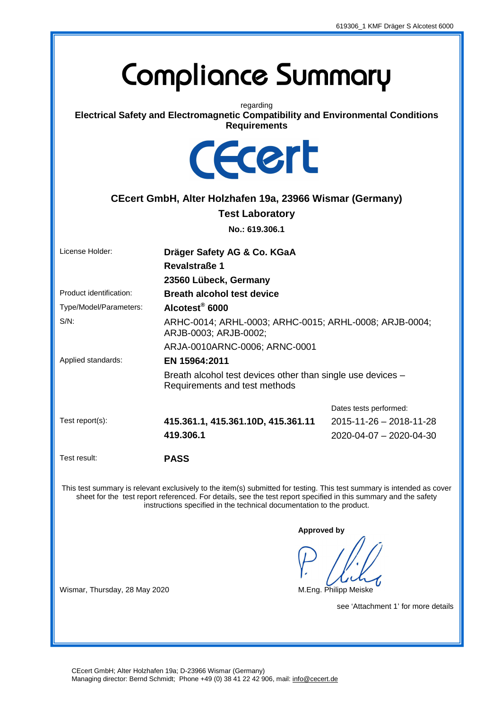## **Compliance Summary**

regarding **Electrical Safety and Electromagnetic Compatibility and Environmental Conditions Requirements** 



## **CEcert GmbH, Alter Holzhafen 19a, 23966 Wismar (Germany)**

**Test Laboratory** 

**No.: 619.306.1** 

| ARHC-0014; ARHL-0003; ARHC-0015; ARHL-0008; ARJB-0004;                                                                                                                                                                                                                                                             |  |  |
|--------------------------------------------------------------------------------------------------------------------------------------------------------------------------------------------------------------------------------------------------------------------------------------------------------------------|--|--|
|                                                                                                                                                                                                                                                                                                                    |  |  |
|                                                                                                                                                                                                                                                                                                                    |  |  |
| Breath alcohol test devices other than single use devices -                                                                                                                                                                                                                                                        |  |  |
| Dates tests performed:                                                                                                                                                                                                                                                                                             |  |  |
| 2015-11-26 - 2018-11-28                                                                                                                                                                                                                                                                                            |  |  |
| 2020-04-07 - 2020-04-30                                                                                                                                                                                                                                                                                            |  |  |
|                                                                                                                                                                                                                                                                                                                    |  |  |
| This test summary is relevant exclusively to the item(s) submitted for testing. This test summary is intended as cover<br>sheet for the test report referenced. For details, see the test report specified in this summary and the safety<br>instructions specified in the technical documentation to the product. |  |  |
| <b>Approved by</b>                                                                                                                                                                                                                                                                                                 |  |  |
| M.Eng. Philipp Meiske                                                                                                                                                                                                                                                                                              |  |  |
| see 'Attachment 1' for more details                                                                                                                                                                                                                                                                                |  |  |
|                                                                                                                                                                                                                                                                                                                    |  |  |